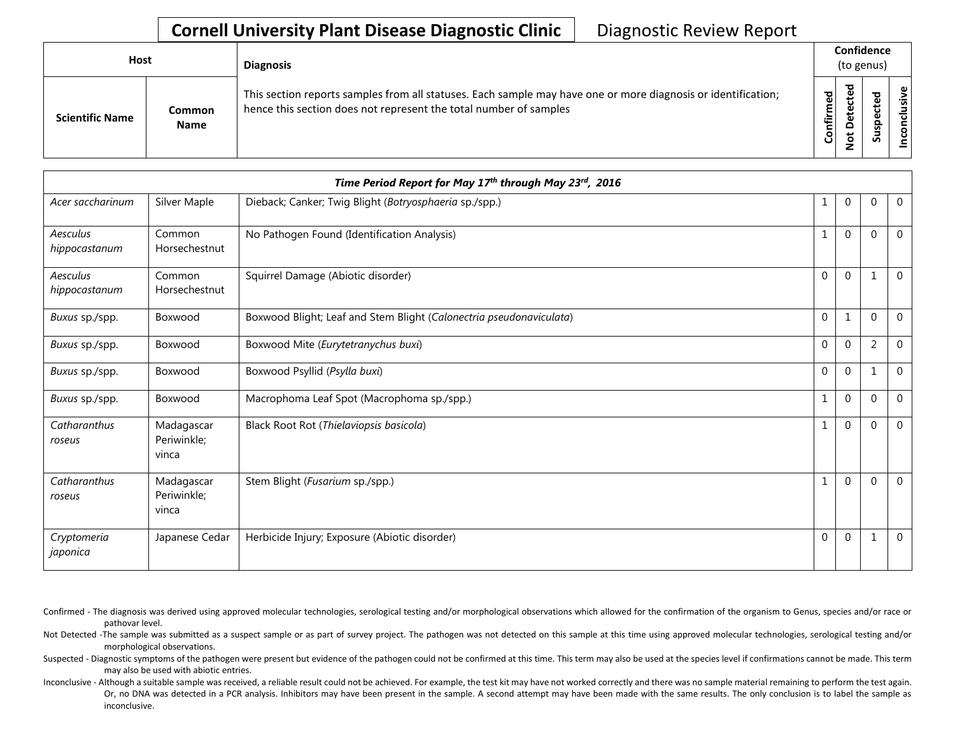| Host |                        |                              | <b>Diagnosis</b>                                                                                                                                                                   |                   | Confidence<br>(to genus) |                         |       |
|------|------------------------|------------------------------|------------------------------------------------------------------------------------------------------------------------------------------------------------------------------------|-------------------|--------------------------|-------------------------|-------|
|      | <b>Scientific Name</b> | <b>Common</b><br><b>Name</b> | This section reports samples from all statuses. Each sample may have one or more diagnosis or identification;<br>hence this section does not represent the total number of samples | ъ<br>Ō<br>Confirm | ъ<br>$\Omega$<br>z       | ъ<br>ீ<br>ω<br>௨<br>Sus | usive |

|                           | Time Period Report for May 17th through May 23rd, 2016 |                                                                     |             |                |                |                |  |
|---------------------------|--------------------------------------------------------|---------------------------------------------------------------------|-------------|----------------|----------------|----------------|--|
| Acer saccharinum          | Silver Maple                                           | Dieback; Canker; Twig Blight (Botryosphaeria sp./spp.)              | 1           | $\mathbf{0}$   | $\mathbf{0}$   | $\overline{0}$ |  |
| Aesculus<br>hippocastanum | Common<br>Horsechestnut                                | No Pathogen Found (Identification Analysis)                         | 1           | $\overline{0}$ | $\mathbf{0}$   | $\Omega$       |  |
| Aesculus<br>hippocastanum | Common<br>Horsechestnut                                | Squirrel Damage (Abiotic disorder)                                  | $\mathbf 0$ | $\overline{0}$ | $\mathbf{1}$   | $\Omega$       |  |
| Buxus sp./spp.            | Boxwood                                                | Boxwood Blight; Leaf and Stem Blight (Calonectria pseudonaviculata) | 0           | 1              | $\mathbf 0$    | $\mathbf 0$    |  |
| Buxus sp./spp.            | Boxwood                                                | Boxwood Mite (Eurytetranychus buxi)                                 | 0           | $\pmb{0}$      | $\overline{2}$ | $\mathbf 0$    |  |
| Buxus sp./spp.            | Boxwood                                                | Boxwood Psyllid (Psylla buxi)                                       | 0           | 0              | 1              | $\mathbf 0$    |  |
| Buxus sp./spp.            | Boxwood                                                | Macrophoma Leaf Spot (Macrophoma sp./spp.)                          | 1           | $\pmb{0}$      | $\mathbf 0$    | $\Omega$       |  |
| Catharanthus<br>roseus    | Madagascar<br>Periwinkle;<br>vinca                     | Black Root Rot (Thielaviopsis basicola)                             | 1           | $\overline{0}$ | $\Omega$       | $\Omega$       |  |
| Catharanthus<br>roseus    | Madagascar<br>Periwinkle;<br>vinca                     | Stem Blight (Fusarium sp./spp.)                                     | $\mathbf 1$ | $\mathbf{0}$   | $\Omega$       | $\Omega$       |  |
| Cryptomeria<br>japonica   | Japanese Cedar                                         | Herbicide Injury; Exposure (Abiotic disorder)                       | $\pmb{0}$   | $\mathbf{0}$   | $\mathbf 1$    | $\mathbf 0$    |  |

- Confirmed The diagnosis was derived using approved molecular technologies, serological testing and/or morphological observations which allowed for the confirmation of the organism to Genus, species and/or race or pathovar level.
- Not Detected -The sample was submitted as a suspect sample or as part of survey project. The pathogen was not detected on this sample at this time using approved molecular technologies, serological testing and/or morphological observations.
- Suspected Diagnostic symptoms of the pathogen were present but evidence of the pathogen could not be confirmed at this time. This term may also be used at the species level if confirmations cannot be made. This term may also be used with abiotic entries.
- Inconclusive Although a suitable sample was received, a reliable result could not be achieved. For example, the test kit may have not worked correctly and there was no sample material remaining to perform the test again. Or, no DNA was detected in a PCR analysis. Inhibitors may have been present in the sample. A second attempt may have been made with the same results. The only conclusion is to label the sample as inconclusive.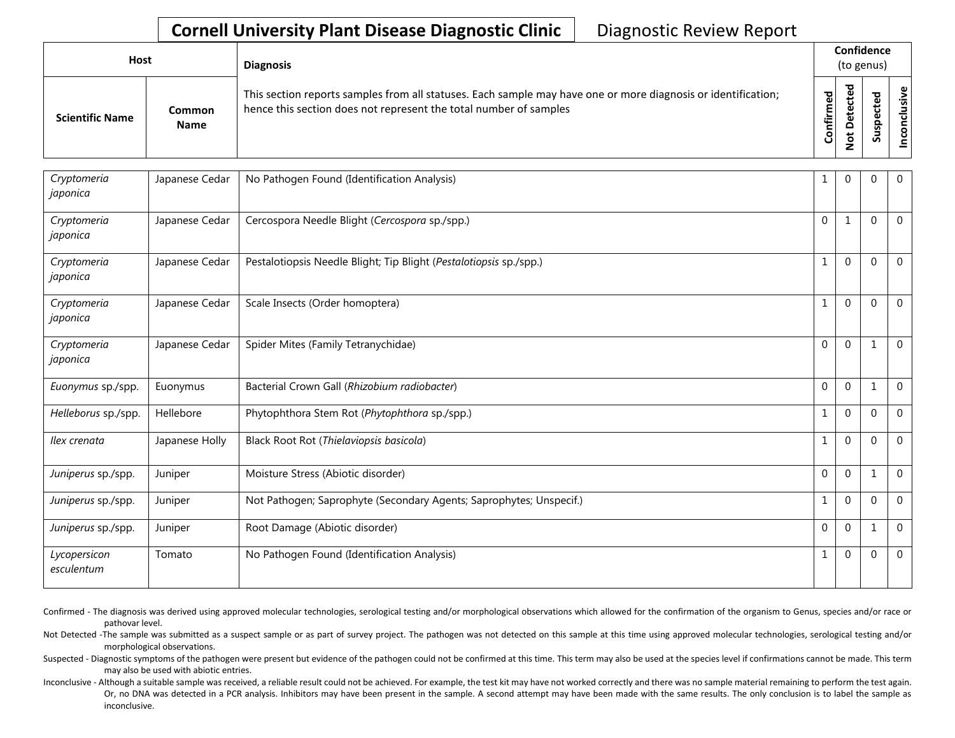| Host                   |                              | <b>Diagnosis</b>                                                                                                                                                                   |           |                         |   |                |  |  | Confidence<br>(to genus) |  |  |  |
|------------------------|------------------------------|------------------------------------------------------------------------------------------------------------------------------------------------------------------------------------|-----------|-------------------------|---|----------------|--|--|--------------------------|--|--|--|
| <b>Scientific Name</b> | <b>Common</b><br><b>Name</b> | This section reports samples from all statuses. Each sample may have one or more diagnosis or identification;<br>hence this section does not represent the total number of samples | Confirmed | ᇃ<br>سد<br>≏<br>سه<br>– | ທ | ω<br>∙કે<br>᠊ᠣ |  |  |                          |  |  |  |

| Cryptomeria                | Japanese Cedar | No Pathogen Found (Identification Analysis)                         | 1            | $\Omega$     | $\Omega$     | $\mathbf{0}$   |
|----------------------------|----------------|---------------------------------------------------------------------|--------------|--------------|--------------|----------------|
| japonica                   |                |                                                                     |              |              |              |                |
| Cryptomeria<br>japonica    | Japanese Cedar | Cercospora Needle Blight (Cercospora sp./spp.)                      | $\mathbf{0}$ | 1            | $\Omega$     | $\mathbf 0$    |
| Cryptomeria<br>japonica    | Japanese Cedar | Pestalotiopsis Needle Blight; Tip Blight (Pestalotiopsis sp./spp.)  | 1            | $\mathbf{0}$ | $\Omega$     | $\mathbf{0}$   |
| Cryptomeria<br>japonica    | Japanese Cedar | Scale Insects (Order homoptera)                                     | 1            | $\Omega$     | $\Omega$     | $\mathbf{0}$   |
| Cryptomeria<br>japonica    | Japanese Cedar | Spider Mites (Family Tetranychidae)                                 | $\mathbf{0}$ | $\Omega$     | $\mathbf{1}$ | $\mathbf 0$    |
| Euonymus sp./spp.          | Euonymus       | Bacterial Crown Gall (Rhizobium radiobacter)                        | $\Omega$     | $\Omega$     | 1            | $\overline{0}$ |
| Helleborus sp./spp.        | Hellebore      | Phytophthora Stem Rot (Phytophthora sp./spp.)                       | 1            | $\Omega$     | $\Omega$     | $\overline{0}$ |
| Ilex crenata               | Japanese Holly | Black Root Rot (Thielaviopsis basicola)                             | 1            | $\mathbf{0}$ | $\Omega$     | $\mathbf{0}$   |
| Juniperus sp./spp.         | Juniper        | Moisture Stress (Abiotic disorder)                                  | $\Omega$     | $\Omega$     |              | $\Omega$       |
| Juniperus sp./spp.         | Juniper        | Not Pathogen; Saprophyte (Secondary Agents; Saprophytes; Unspecif.) | 1            | $\mathbf 0$  | $\Omega$     | $\mathbf{0}$   |
| Juniperus sp./spp.         | Juniper        | Root Damage (Abiotic disorder)                                      | $\mathbf 0$  | $\mathbf{0}$ | 1            | $\mathbf{0}$   |
| Lycopersicon<br>esculentum | Tomato         | No Pathogen Found (Identification Analysis)                         | 1            | $\Omega$     | $\Omega$     | $\mathbf 0$    |

Confirmed - The diagnosis was derived using approved molecular technologies, serological testing and/or morphological observations which allowed for the confirmation of the organism to Genus, species and/or race or pathovar level.

Not Detected -The sample was submitted as a suspect sample or as part of survey project. The pathogen was not detected on this sample at this time using approved molecular technologies, serological testing and/or morphological observations.

Suspected - Diagnostic symptoms of the pathogen were present but evidence of the pathogen could not be confirmed at this time. This term may also be used at the species level if confirmations cannot be made. This term may also be used with abiotic entries.

Inconclusive - Although a suitable sample was received, a reliable result could not be achieved. For example, the test kit may have not worked correctly and there was no sample material remaining to perform the test again. Or, no DNA was detected in a PCR analysis. Inhibitors may have been present in the sample. A second attempt may have been made with the same results. The only conclusion is to label the sample as inconclusive.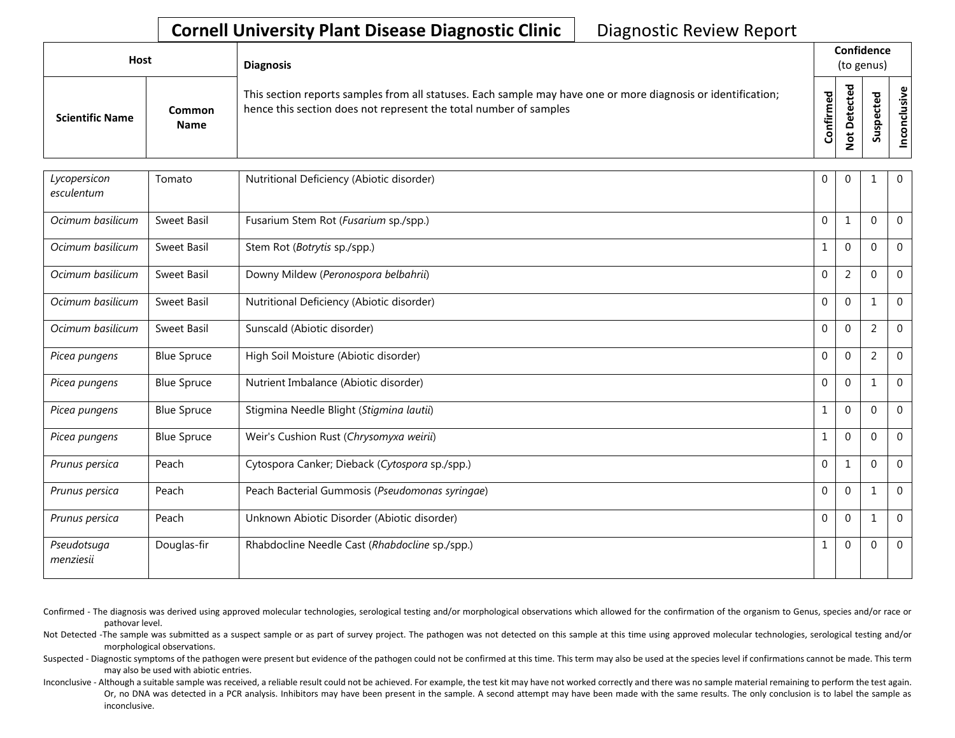| Host                   |                              | <b>Diagnosis</b>                                                                                                                                                                   |                |                   | Confidence<br>(to genus) |               |
|------------------------|------------------------------|------------------------------------------------------------------------------------------------------------------------------------------------------------------------------------|----------------|-------------------|--------------------------|---------------|
| <b>Scientific Name</b> | <b>Common</b><br><b>Name</b> | This section reports samples from all statuses. Each sample may have one or more diagnosis or identification;<br>hence this section does not represent the total number of samples | irmed<br>Confi | ъ<br>o<br>ىد<br>– |                          | Φ<br>šķ<br>᠊ᠣ |

| Lycopersicon<br>esculentum | Tomato             | Nutritional Deficiency (Abiotic disorder)       | 0            | $\overline{0}$ |                | $\mathbf{0}$   |
|----------------------------|--------------------|-------------------------------------------------|--------------|----------------|----------------|----------------|
| Ocimum basilicum           | Sweet Basil        | Fusarium Stem Rot (Fusarium sp./spp.)           | $\Omega$     | 1              | $\Omega$       | $\mathbf{0}$   |
| Ocimum basilicum           | Sweet Basil        | Stem Rot (Botrytis sp./spp.)                    | 1            | $\Omega$       | $\Omega$       | $\overline{0}$ |
| Ocimum basilicum           | Sweet Basil        | Downy Mildew (Peronospora belbahrii)            | $\mathbf{0}$ | 2              | $\Omega$       | $\mathbf{0}$   |
| Ocimum basilicum           | Sweet Basil        | Nutritional Deficiency (Abiotic disorder)       | $\mathbf 0$  | $\mathbf{0}$   |                | $\overline{0}$ |
| Ocimum basilicum           | Sweet Basil        | Sunscald (Abiotic disorder)                     | $\mathbf{0}$ | $\mathbf{0}$   | $\overline{2}$ | $\mathbf{0}$   |
| Picea pungens              | <b>Blue Spruce</b> | High Soil Moisture (Abiotic disorder)           | $\mathbf{0}$ | $\mathbf{0}$   | $\overline{2}$ | $\mathbf{0}$   |
| Picea pungens              | <b>Blue Spruce</b> | Nutrient Imbalance (Abiotic disorder)           | $\mathbf{0}$ | $\mathbf{0}$   |                | $\mathbf{0}$   |
| Picea pungens              | <b>Blue Spruce</b> | Stigmina Needle Blight (Stigmina lautii)        | $\mathbf{1}$ | $\mathbf{0}$   | $\Omega$       | $\mathbf{0}$   |
| Picea pungens              | <b>Blue Spruce</b> | Weir's Cushion Rust (Chrysomyxa weirii)         |              | $\mathbf{0}$   | $\Omega$       | $\Omega$       |
| Prunus persica             | Peach              | Cytospora Canker; Dieback (Cytospora sp./spp.)  | $\mathbf{0}$ | 1              | $\Omega$       | $\overline{0}$ |
| Prunus persica             | Peach              | Peach Bacterial Gummosis (Pseudomonas syringae) | $\mathbf{0}$ | $\mathbf{0}$   |                | $\Omega$       |
| Prunus persica             | Peach              | Unknown Abiotic Disorder (Abiotic disorder)     | $\mathbf{0}$ | $\mathbf{0}$   | 1              | $\overline{0}$ |
| Pseudotsuga<br>menziesii   | Douglas-fir        | Rhabdocline Needle Cast (Rhabdocline sp./spp.)  | 1            | $\mathbf{0}$   | $\Omega$       | $\overline{0}$ |

Confirmed - The diagnosis was derived using approved molecular technologies, serological testing and/or morphological observations which allowed for the confirmation of the organism to Genus, species and/or race or pathovar level.

Not Detected -The sample was submitted as a suspect sample or as part of survey project. The pathogen was not detected on this sample at this time using approved molecular technologies, serological testing and/or morphological observations.

Suspected - Diagnostic symptoms of the pathogen were present but evidence of the pathogen could not be confirmed at this time. This term may also be used at the species level if confirmations cannot be made. This term may also be used with abiotic entries.

Inconclusive - Although a suitable sample was received, a reliable result could not be achieved. For example, the test kit may have not worked correctly and there was no sample material remaining to perform the test again. Or, no DNA was detected in a PCR analysis. Inhibitors may have been present in the sample. A second attempt may have been made with the same results. The only conclusion is to label the sample as inconclusive.